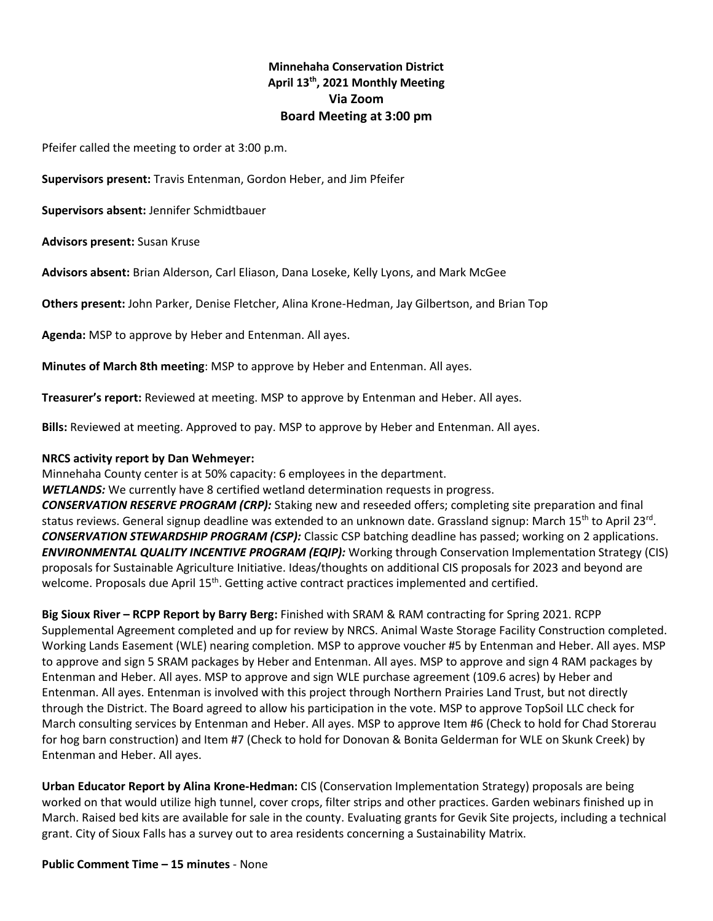# **Minnehaha Conservation District April 13th, 2021 Monthly Meeting Via Zoom Board Meeting at 3:00 pm**

Pfeifer called the meeting to order at 3:00 p.m.

**Supervisors present:** Travis Entenman, Gordon Heber, and Jim Pfeifer

**Supervisors absent:** Jennifer Schmidtbauer

**Advisors present:** Susan Kruse

**Advisors absent:** Brian Alderson, Carl Eliason, Dana Loseke, Kelly Lyons, and Mark McGee

**Others present:** John Parker, Denise Fletcher, Alina Krone-Hedman, Jay Gilbertson, and Brian Top

**Agenda:** MSP to approve by Heber and Entenman. All ayes.

**Minutes of March 8th meeting**: MSP to approve by Heber and Entenman. All ayes.

**Treasurer's report:** Reviewed at meeting. MSP to approve by Entenman and Heber. All ayes.

**Bills:** Reviewed at meeting. Approved to pay. MSP to approve by Heber and Entenman. All ayes.

#### **NRCS activity report by Dan Wehmeyer:**

Minnehaha County center is at 50% capacity: 6 employees in the department.

*WETLANDS:* We currently have 8 certified wetland determination requests in progress.

*CONSERVATION RESERVE PROGRAM (CRP):* Staking new and reseeded offers; completing site preparation and final status reviews. General signup deadline was extended to an unknown date. Grassland signup: March 15<sup>th</sup> to April 23<sup>rd</sup>. *CONSERVATION STEWARDSHIP PROGRAM (CSP):* Classic CSP batching deadline has passed; working on 2 applications. *ENVIRONMENTAL QUALITY INCENTIVE PROGRAM (EQIP):* Working through Conservation Implementation Strategy (CIS) proposals for Sustainable Agriculture Initiative. Ideas/thoughts on additional CIS proposals for 2023 and beyond are welcome. Proposals due April 15<sup>th</sup>. Getting active contract practices implemented and certified.

**Big Sioux River – RCPP Report by Barry Berg:** Finished with SRAM & RAM contracting for Spring 2021. RCPP Supplemental Agreement completed and up for review by NRCS. Animal Waste Storage Facility Construction completed. Working Lands Easement (WLE) nearing completion. MSP to approve voucher #5 by Entenman and Heber. All ayes. MSP to approve and sign 5 SRAM packages by Heber and Entenman. All ayes. MSP to approve and sign 4 RAM packages by Entenman and Heber. All ayes. MSP to approve and sign WLE purchase agreement (109.6 acres) by Heber and Entenman. All ayes. Entenman is involved with this project through Northern Prairies Land Trust, but not directly through the District. The Board agreed to allow his participation in the vote. MSP to approve TopSoil LLC check for March consulting services by Entenman and Heber. All ayes. MSP to approve Item #6 (Check to hold for Chad Storerau for hog barn construction) and Item #7 (Check to hold for Donovan & Bonita Gelderman for WLE on Skunk Creek) by Entenman and Heber. All ayes.

**Urban Educator Report by Alina Krone-Hedman:** CIS (Conservation Implementation Strategy) proposals are being worked on that would utilize high tunnel, cover crops, filter strips and other practices. Garden webinars finished up in March. Raised bed kits are available for sale in the county. Evaluating grants for Gevik Site projects, including a technical grant. City of Sioux Falls has a survey out to area residents concerning a Sustainability Matrix.

**Public Comment Time – 15 minutes** - None